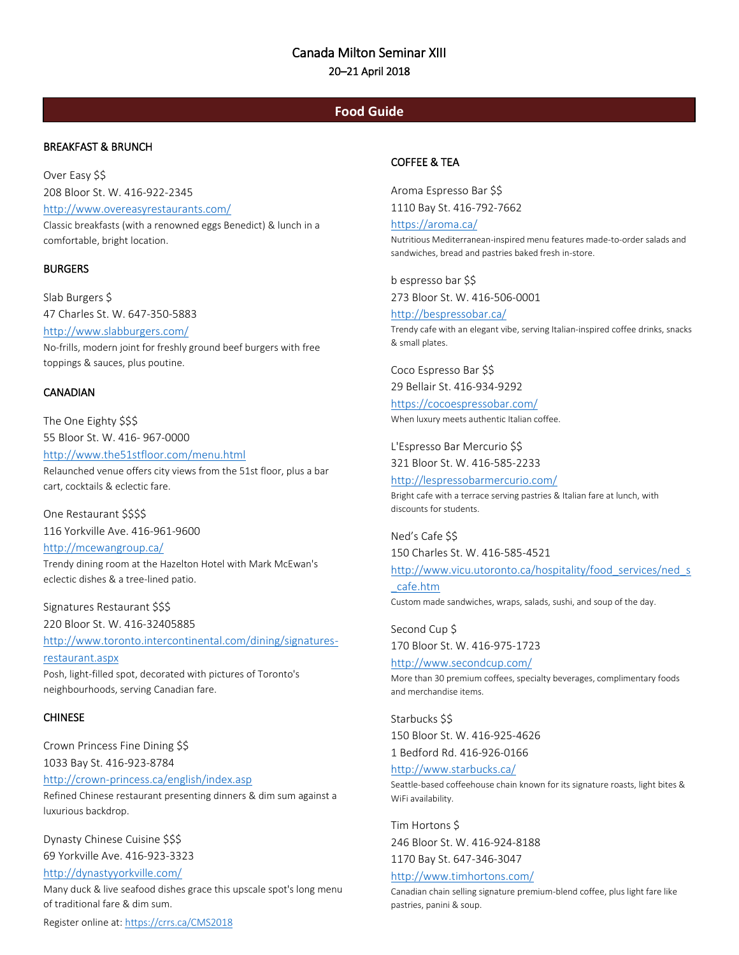# Canada Milton Seminar XIII 20–21 April 2018

## **Food Guide**

## BREAKFAST & BRUNCH

comfortable, bright location.

Over Easy \$\$ 208 Bloor St. W. 416-922-2345 <http://www.overeasyrestaurants.com/> Classic breakfasts (with a renowned eggs Benedict) & lunch in a

**BURGERS** 

Slab Burgers \$ 47 Charles St. W. 647-350-5883 <http://www.slabburgers.com/> No-frills, modern joint for freshly ground beef burgers with free toppings & sauces, plus poutine.

#### **CANADIAN**

The One Eighty \$\$\$ 55 Bloor St. W. 416- 967-0000 <http://www.the51stfloor.com/menu.html> Relaunched venue offers city views from the 51st floor, plus a bar cart, cocktails & eclectic fare.

One Restaurant \$\$\$\$ 116 Yorkville Ave. 416-961-9600

<http://mcewangroup.ca/> Trendy dining room at the Hazelton Hotel with Mark McEwan's eclectic dishes & a tree-lined patio.

Signatures Restaurant \$\$\$ 220 Bloor St. W. 416-32405885

[http://www.toronto.intercontinental.com/dining/signatures-](http://www.toronto.intercontinental.com/dining/signatures-restaurant.aspx)

[restaurant.aspx](http://www.toronto.intercontinental.com/dining/signatures-restaurant.aspx) Posh, light-filled spot, decorated with pictures of Toronto's neighbourhoods, serving Canadian fare.

## **CHINESE**

Crown Princess Fine Dining \$\$ 1033 Bay St. 416-923-8784 <http://crown-princess.ca/english/index.asp> Refined Chinese restaurant presenting dinners & dim sum against a luxurious backdrop.

Dynasty Chinese Cuisine \$\$\$ 69 Yorkville Ave. 416-923-3323

<http://dynastyyorkville.com/>

Many duck & live seafood dishes grace this upscale spot's long menu of traditional fare & dim sum.

Register online at: https://crrs.ca/CMS2018

## COFFEE & TEA

Aroma Espresso Bar \$\$ 1110 Bay St. 416-792-7662

<https://aroma.ca/>

Nutritious Mediterranean-inspired menu features made-to-order salads and sandwiches, bread and pastries baked fresh in-store.

b espresso bar \$\$ 273 Bloor St. W. 416-506-0001

<http://bespressobar.ca/> Trendy cafe with an elegant vibe, serving Italian-inspired coffee drinks, snacks & small plates.

Coco Espresso Bar \$\$ 29 Bellair St. 416-934-9292

<https://cocoespressobar.com/> When luxury meets authentic Italian coffee.

L'Espresso Bar Mercurio \$\$ 321 Bloor St. W. 416-585-2233

<http://lespressobarmercurio.com/> Bright cafe with a terrace serving pastries & Italian fare at lunch, with discounts for students.

Ned's Cafe \$\$ 150 Charles St. W. 416-585-4521

[http://www.vicu.utoronto.ca/hospitality/food\\_services/ned\\_s](http://www.vicu.utoronto.ca/hospitality/food_services/ned_s_cafe.htm)

[\\_cafe.htm](http://www.vicu.utoronto.ca/hospitality/food_services/ned_s_cafe.htm) Custom made sandwiches, wraps, salads, sushi, and soup of the day.

Second Cup \$ 170 Bloor St. W. 416-975-1723

<http://www.secondcup.com/> More than 30 premium coffees, specialty beverages, complimentary foods and merchandise items.

Starbucks \$\$ 150 Bloor St. W. 416-925-4626 1 Bedford Rd. 416-926-0166 <http://www.starbucks.ca/> Seattle-based coffeehouse chain known for its signature roasts, light bites & WiFi availability.

Tim Hortons \$ 246 Bloor St. W. 416-924-8188 1170 Bay St. 647-346-3047

<http://www.timhortons.com/>

Canadian chain selling signature premium-blend coffee, plus light fare like pastries, panini & soup.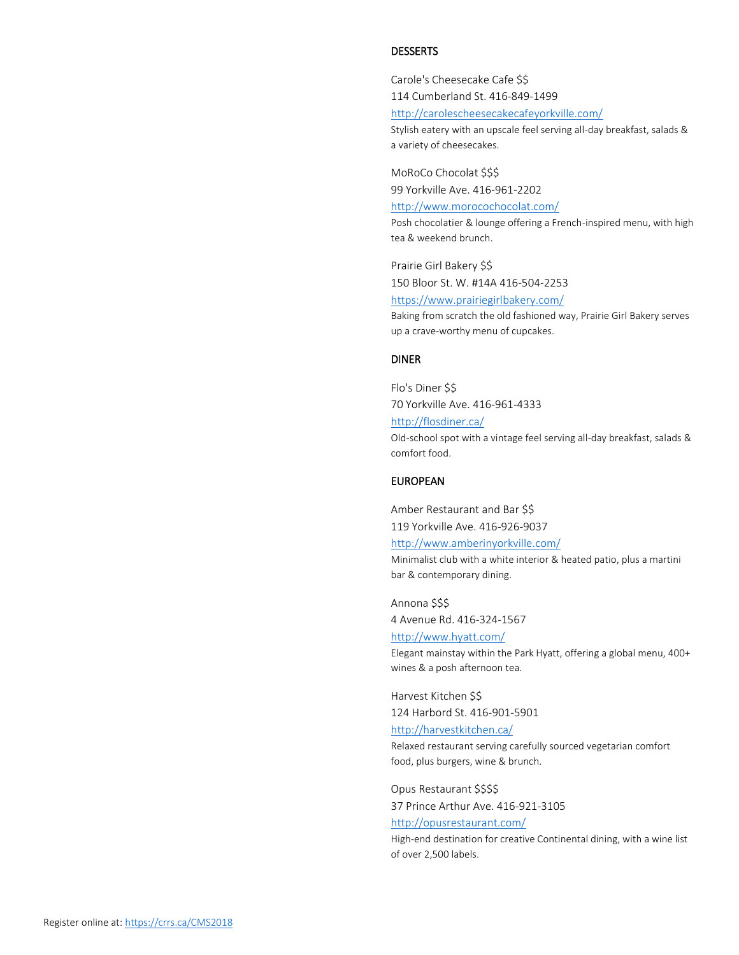#### DESSERTS

Carole's Cheesecake Cafe \$\$

114 Cumberland St. 416-849-1499 <http://carolescheesecakecafeyorkville.com/>

Stylish eatery with an upscale feel serving all-day breakfast, salads & a variety of cheesecakes.

MoRoCo Chocolat \$\$\$ 99 Yorkville Ave. 416-961-2202

<http://www.morocochocolat.com/>

up a crave-worthy menu of cupcakes.

Posh chocolatier & lounge offering a French-inspired menu, with high tea & weekend brunch.

Prairie Girl Bakery \$\$ 150 Bloor St. W. #14A 416-504-2253 <https://www.prairiegirlbakery.com/> Baking from scratch the old fashioned way, Prairie Girl Bakery serves

#### DINER

Flo's Diner \$\$ 70 Yorkville Ave. 416-961-4333 <http://flosdiner.ca/> Old-school spot with a vintage feel serving all-day breakfast, salads & comfort food.

#### EUROPEAN

Amber Restaurant and Bar \$\$ 119 Yorkville Ave. 416-926-9037 <http://www.amberinyorkville.com/>

Minimalist club with a white interior & heated patio, plus a martini bar & contemporary dining.

Annona \$\$\$ 4 Avenue Rd. 416-324-1567 <http://www.hyatt.com/>

Elegant mainstay within the Park Hyatt, offering a global menu, 400+ wines & a posh afternoon tea.

Harvest Kitchen \$\$ 124 Harbord St. 416-901-5901

<http://harvestkitchen.ca/>

Relaxed restaurant serving carefully sourced vegetarian comfort food, plus burgers, wine & brunch.

Opus Restaurant \$\$\$\$

37 Prince Arthur Ave. 416-921-3105

<http://opusrestaurant.com/>

High-end destination for creative Continental dining, with a wine list of over 2,500 labels.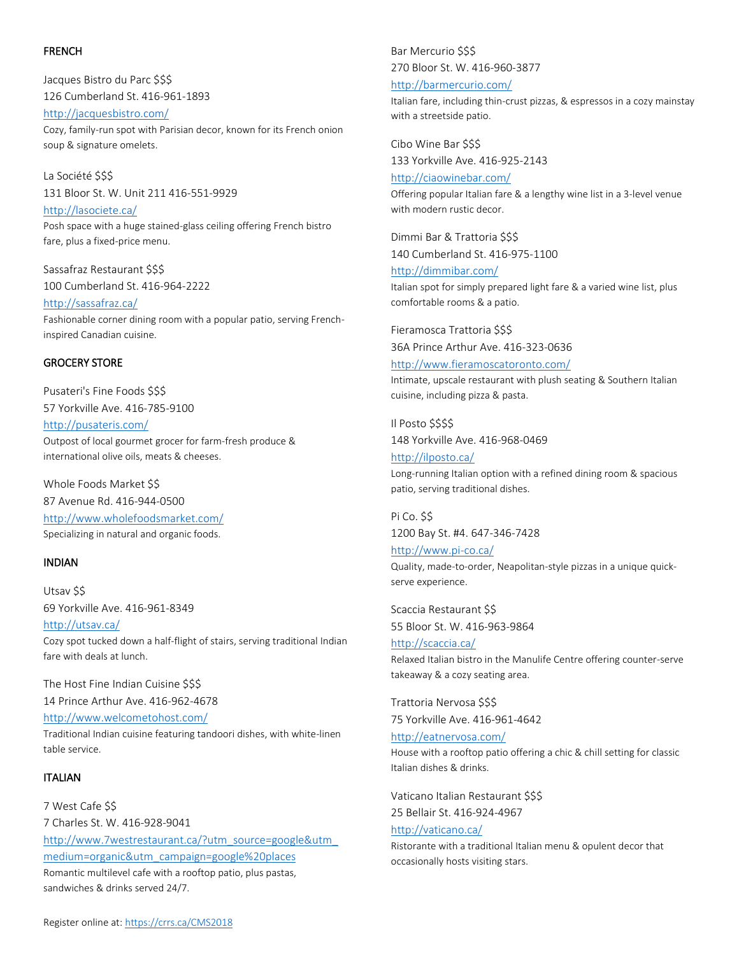#### FRENCH

Jacques Bistro du Parc \$\$\$ 126 Cumberland St. 416-961-1893

<http://jacquesbistro.com/> Cozy, family-run spot with Parisian decor, known for its French onion soup & signature omelets.

La Société \$\$\$ 131 Bloor St. W. Unit 211 416-551-9929 <http://lasociete.ca/>

Posh space with a huge stained-glass ceiling offering French bistro fare, plus a fixed-price menu.

Sassafraz Restaurant \$\$\$ 100 Cumberland St. 416-964-2222

<http://sassafraz.ca/> Fashionable corner dining room with a popular patio, serving Frenchinspired Canadian cuisine.

### GROCERY STORE

Pusateri's Fine Foods \$\$\$ 57 Yorkville Ave. 416-785-9100 <http://pusateris.com/> Outpost of local gourmet grocer for farm-fresh produce & international olive oils, meats & cheeses.

Whole Foods Market \$\$ 87 Avenue Rd. 416-944-0500 <http://www.wholefoodsmarket.com/> Specializing in natural and organic foods.

### INDIAN

Utsav \$\$ 69 Yorkville Ave. 416-961-8349 <http://utsav.ca/> Cozy spot tucked down a half-flight of stairs, serving traditional Indian fare with deals at lunch.

The Host Fine Indian Cuisine \$\$\$ 14 Prince Arthur Ave. 416-962-4678

<http://www.welcometohost.com/>

Traditional Indian cuisine featuring tandoori dishes, with white-linen table service.

### ITALIAN

7 West Cafe \$\$ 7 Charles St. W. 416-928-9041 [http://www.7westrestaurant.ca/?utm\\_source=google&utm\\_](http://www.7westrestaurant.ca/?utm_source=google&utm_medium=organic&utm_campaign=google%20places) [medium=organic&utm\\_campaign=google%20places](http://www.7westrestaurant.ca/?utm_source=google&utm_medium=organic&utm_campaign=google%20places) Romantic multilevel cafe with a rooftop patio, plus pastas, sandwiches & drinks served 24/7.

Bar Mercurio \$\$\$ 270 Bloor St. W. 416-960-3877

#### <http://barmercurio.com/>

Italian fare, including thin-crust pizzas, & espressos in a cozy mainstay with a streetside patio.

Cibo Wine Bar \$\$\$ 133 Yorkville Ave. 416-925-2143

<http://ciaowinebar.com/> Offering popular Italian fare & a lengthy wine list in a 3-level venue with modern rustic decor.

Dimmi Bar & Trattoria \$\$\$ 140 Cumberland St. 416-975-1100

<http://dimmibar.com/> Italian spot for simply prepared light fare & a varied wine list, plus comfortable rooms & a patio.

Fieramosca Trattoria \$\$\$ 36A Prince Arthur Ave. 416-323-0636

<http://www.fieramoscatoronto.com/>

Intimate, upscale restaurant with plush seating & Southern Italian cuisine, including pizza & pasta.

Il Posto \$\$\$\$ 148 Yorkville Ave. 416-968-0469

<http://ilposto.ca/> Long-running Italian option with a refined dining room & spacious patio, serving traditional dishes.

Pi Co. \$\$ 1200 Bay St. #4. 647-346-7428

<http://www.pi-co.ca/> Quality, made-to-order, Neapolitan-style pizzas in a unique quickserve experience.

Scaccia Restaurant \$\$ 55 Bloor St. W. 416-963-9864

<http://scaccia.ca/> Relaxed Italian bistro in the Manulife Centre offering counter-serve takeaway & a cozy seating area.

Trattoria Nervosa \$\$\$ 75 Yorkville Ave. 416-961-4642

<http://eatnervosa.com/> House with a rooftop patio offering a chic & chill setting for classic Italian dishes & drinks.

Vaticano Italian Restaurant \$\$\$ 25 Bellair St. 416-924-4967

<http://vaticano.ca/> Ristorante with a traditional Italian menu & opulent decor that occasionally hosts visiting stars.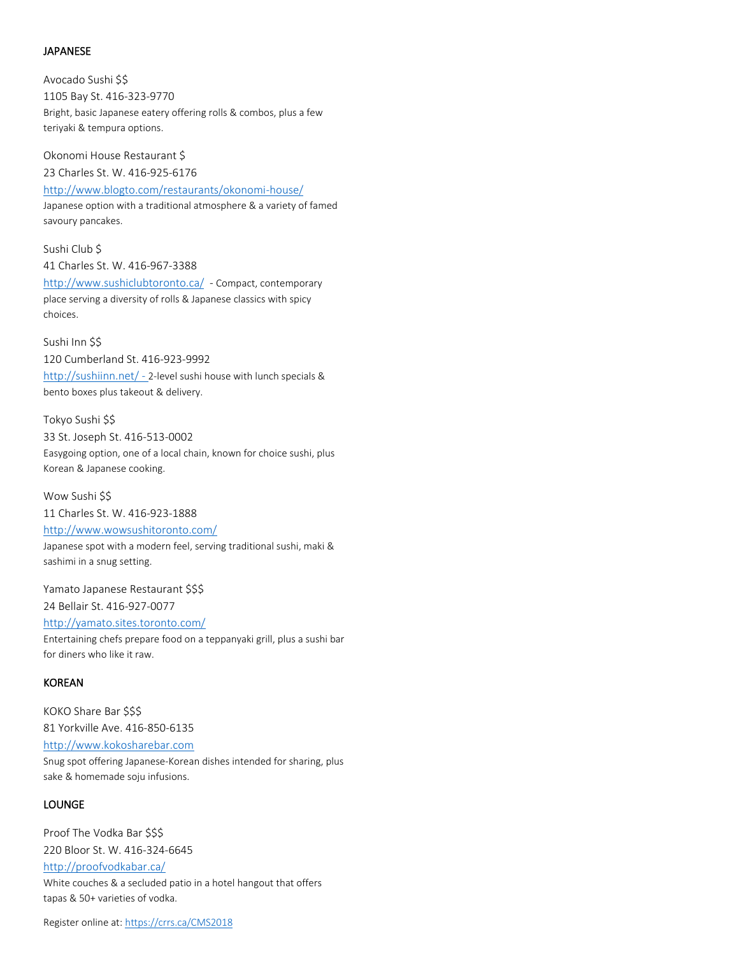### JAPANESE

savoury pancakes.

Avocado Sushi \$\$ 1105 Bay St. 416-323-9770 Bright, basic Japanese eatery offering rolls & combos, plus a few teriyaki & tempura options.

Okonomi House Restaurant \$ 23 Charles St. W. 416-925-6176 <http://www.blogto.com/restaurants/okonomi-house/> Japanese option with a traditional atmosphere & a variety of famed

Sushi Club \$ 41 Charles St. W. 416-967-3388 <http://www.sushiclubtoronto.ca/> - Compact, contemporary place serving a diversity of rolls & Japanese classics with spicy choices.

Sushi Inn \$\$ 120 Cumberland St. 416-923-9992 <http://sushiinn.net/> - 2-level sushi house with lunch specials & bento boxes plus takeout & delivery.

Tokyo Sushi \$\$ 33 St. Joseph St. 416-513-0002 Easygoing option, one of a local chain, known for choice sushi, plus Korean & Japanese cooking.

Wow Sushi \$\$ 11 Charles St. W. 416-923-1888 <http://www.wowsushitoronto.com/> Japanese spot with a modern feel, serving traditional sushi, maki & sashimi in a snug setting.

Yamato Japanese Restaurant \$\$\$ 24 Bellair St. 416-927-0077 <http://yamato.sites.toronto.com/> Entertaining chefs prepare food on a teppanyaki grill, plus a sushi bar for diners who like it raw.

#### KOREAN

KOKO Share Bar \$\$\$ 81 Yorkville Ave. 416-850-6135 [http://www.kokosharebar.com](http://www.kokosharebar.com/) Snug spot offering Japanese-Korean dishes intended for sharing, plus sake & homemade soju infusions.

#### LOUNGE

Proof The Vodka Bar \$\$\$ 220 Bloor St. W. 416-324-6645 <http://proofvodkabar.ca/> White couches & a secluded patio in a hotel hangout that offers tapas & 50+ varieties of vodka.

Register online at: https://crrs.ca/CMS2018